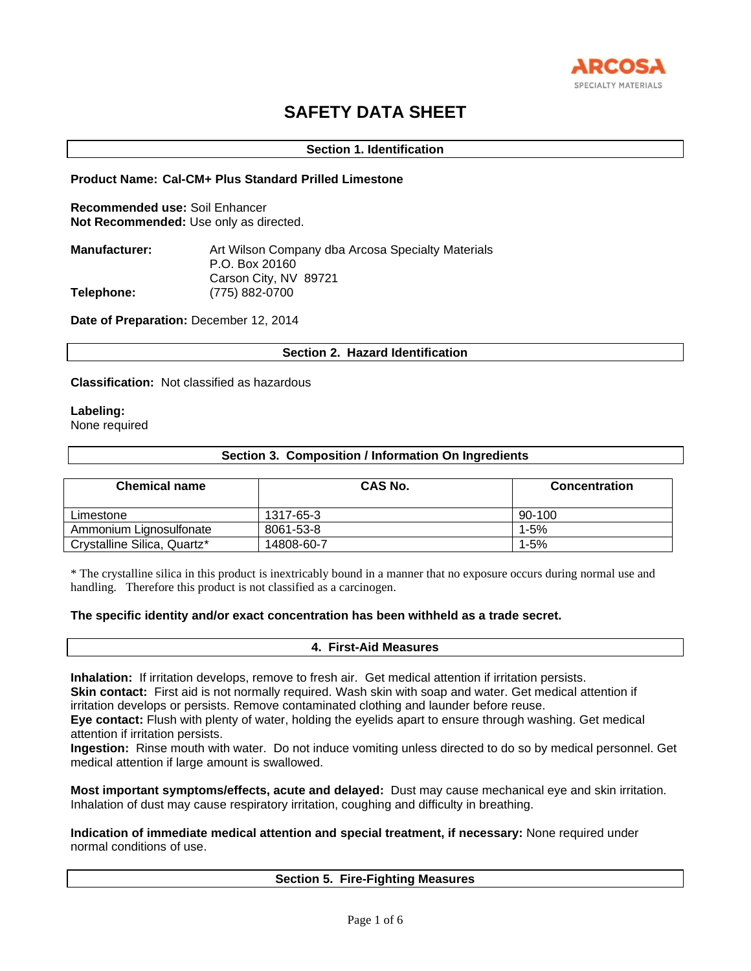

# **SAFETY DATA SHEET**

# **Section 1. Identification**

### **Product Name: Cal-CM+ Plus Standard Prilled Limestone**

**Recommended use:** Soil Enhancer **Not Recommended:** Use only as directed.

| <b>Manufacturer:</b> | Art Wilson Company dba Arcosa Specialty Materials |
|----------------------|---------------------------------------------------|
|                      | P.O. Box 20160                                    |
|                      | Carson City, NV 89721                             |
| Telephone:           | (775) 882-0700                                    |

**Date of Preparation:** December 12, 2014

# **Section 2. Hazard Identification**

#### **Classification:** Not classified as hazardous

# **Labeling:**

None required

# **Section 3. Composition / Information On Ingredients**

| <b>Chemical name</b>        | CAS No.    | <b>Concentration</b> |
|-----------------------------|------------|----------------------|
| Limestone                   | 1317-65-3  | 90-100               |
| Ammonium Lignosulfonate     | 8061-53-8  | 1-5%                 |
| Crystalline Silica, Quartz* | 14808-60-7 | 1-5%                 |

\* The crystalline silica in this product is inextricably bound in a manner that no exposure occurs during normal use and handling. Therefore this product is not classified as a carcinogen.

# **The specific identity and/or exact concentration has been withheld as a trade secret.**

### **4. First-Aid Measures**

**Inhalation:** If irritation develops, remove to fresh air. Get medical attention if irritation persists.

**Skin contact:** First aid is not normally required. Wash skin with soap and water. Get medical attention if irritation develops or persists. Remove contaminated clothing and launder before reuse.

**Eye contact:** Flush with plenty of water, holding the eyelids apart to ensure through washing. Get medical attention if irritation persists.

**Ingestion:** Rinse mouth with water. Do not induce vomiting unless directed to do so by medical personnel. Get medical attention if large amount is swallowed.

**Most important symptoms/effects, acute and delayed:** Dust may cause mechanical eye and skin irritation. Inhalation of dust may cause respiratory irritation, coughing and difficulty in breathing.

**Indication of immediate medical attention and special treatment, if necessary:** None required under normal conditions of use.

# **Section 5. Fire-Fighting Measures**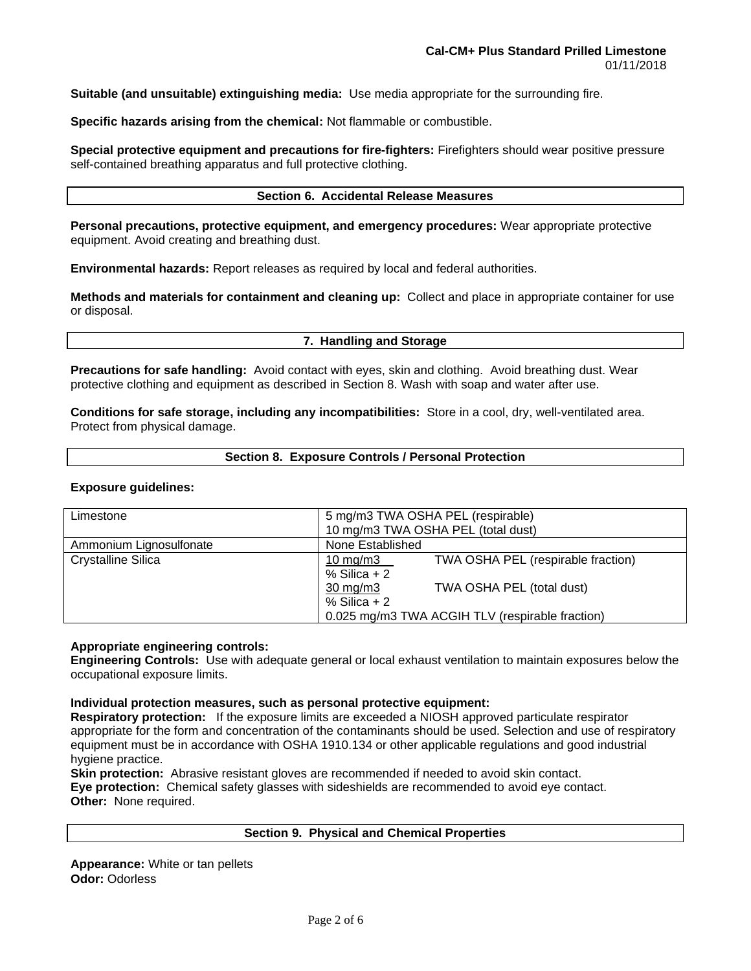**Suitable (and unsuitable) extinguishing media:** Use media appropriate for the surrounding fire.

**Specific hazards arising from the chemical:** Not flammable or combustible.

**Special protective equipment and precautions for fire-fighters:** Firefighters should wear positive pressure self-contained breathing apparatus and full protective clothing.

#### **Section 6. Accidental Release Measures**

**Personal precautions, protective equipment, and emergency procedures:** Wear appropriate protective equipment. Avoid creating and breathing dust.

**Environmental hazards:** Report releases as required by local and federal authorities.

**Methods and materials for containment and cleaning up:** Collect and place in appropriate container for use or disposal.

#### **7. Handling and Storage**

**Precautions for safe handling:** Avoid contact with eyes, skin and clothing. Avoid breathing dust. Wear protective clothing and equipment as described in Section 8. Wash with soap and water after use.

**Conditions for safe storage, including any incompatibilities:** Store in a cool, dry, well-ventilated area. Protect from physical damage.

#### **Section 8. Exposure Controls / Personal Protection**

#### **Exposure guidelines:**

| 5 mg/m3 TWA OSHA PEL (respirable)               |                                    |  |
|-------------------------------------------------|------------------------------------|--|
|                                                 |                                    |  |
| 10 mg/m3 TWA OSHA PEL (total dust)              |                                    |  |
| None Established                                |                                    |  |
| 10 mg/m $3$                                     | TWA OSHA PEL (respirable fraction) |  |
| $%$ Silica + 2                                  |                                    |  |
| $30 \text{ mg/m}$                               | TWA OSHA PEL (total dust)          |  |
| $%$ Silica + 2                                  |                                    |  |
| 0.025 mg/m3 TWA ACGIH TLV (respirable fraction) |                                    |  |
|                                                 |                                    |  |

#### **Appropriate engineering controls:**

**Engineering Controls:** Use with adequate general or local exhaust ventilation to maintain exposures below the occupational exposure limits.

#### **Individual protection measures, such as personal protective equipment:**

**Respiratory protection:** If the exposure limits are exceeded a NIOSH approved particulate respirator appropriate for the form and concentration of the contaminants should be used. Selection and use of respiratory equipment must be in accordance with OSHA 1910.134 or other applicable regulations and good industrial hygiene practice.

**Skin protection:** Abrasive resistant gloves are recommended if needed to avoid skin contact. **Eye protection:** Chemical safety glasses with sideshields are recommended to avoid eye contact. **Other:** None required.

# **Section 9. Physical and Chemical Properties**

**Appearance:** White or tan pellets **Odor:** Odorless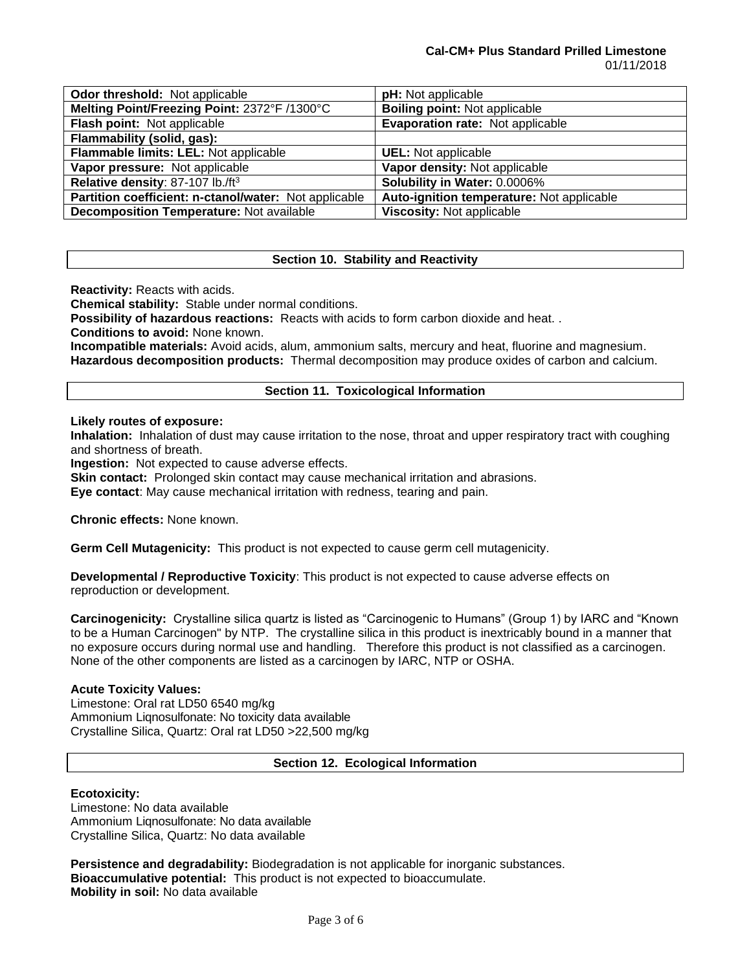#### **Cal-CM+ Plus Standard Prilled Limestone** 01/11/2018

| Odor threshold: Not applicable                        | pH: Not applicable                        |
|-------------------------------------------------------|-------------------------------------------|
| Melting Point/Freezing Point: 2372°F /1300°C          | <b>Boiling point: Not applicable</b>      |
| Flash point: Not applicable                           | Evaporation rate: Not applicable          |
| Flammability (solid, gas):                            |                                           |
| Flammable limits: LEL: Not applicable                 | <b>UEL:</b> Not applicable                |
| Vapor pressure: Not applicable                        | Vapor density: Not applicable             |
| Relative density: 87-107 lb./ft <sup>3</sup>          | Solubility in Water: 0.0006%              |
| Partition coefficient: n-ctanol/water: Not applicable | Auto-ignition temperature: Not applicable |
| <b>Decomposition Temperature: Not available</b>       | Viscosity: Not applicable                 |

# **Section 10. Stability and Reactivity**

**Reactivity:** Reacts with acids.

**Chemical stability:** Stable under normal conditions.

**Possibility of hazardous reactions:** Reacts with acids to form carbon dioxide and heat. .

**Conditions to avoid:** None known.

**Incompatible materials:** Avoid acids, alum, ammonium salts, mercury and heat, fluorine and magnesium. **Hazardous decomposition products:** Thermal decomposition may produce oxides of carbon and calcium.

# **Section 11. Toxicological Information**

### **Likely routes of exposure:**

**Inhalation:** Inhalation of dust may cause irritation to the nose, throat and upper respiratory tract with coughing and shortness of breath.

**Ingestion:** Not expected to cause adverse effects.

**Skin contact:** Prolonged skin contact may cause mechanical irritation and abrasions.

**Eye contact**: May cause mechanical irritation with redness, tearing and pain.

**Chronic effects:** None known.

**Germ Cell Mutagenicity:** This product is not expected to cause germ cell mutagenicity.

**Developmental / Reproductive Toxicity**: This product is not expected to cause adverse effects on reproduction or development.

**Carcinogenicity:** Crystalline silica quartz is listed as "Carcinogenic to Humans" (Group 1) by IARC and "Known to be a Human Carcinogen" by NTP. The crystalline silica in this product is inextricably bound in a manner that no exposure occurs during normal use and handling. Therefore this product is not classified as a carcinogen. None of the other components are listed as a carcinogen by IARC, NTP or OSHA.

# **Acute Toxicity Values:**

Limestone: Oral rat LD50 6540 mg/kg Ammonium Liqnosulfonate: No toxicity data available Crystalline Silica, Quartz: Oral rat LD50 >22,500 mg/kg

# **Section 12. Ecological Information**

#### **Ecotoxicity:**

Limestone: No data available Ammonium Liqnosulfonate: No data available Crystalline Silica, Quartz: No data available

**Persistence and degradability:** Biodegradation is not applicable for inorganic substances. **Bioaccumulative potential:** This product is not expected to bioaccumulate. **Mobility in soil:** No data available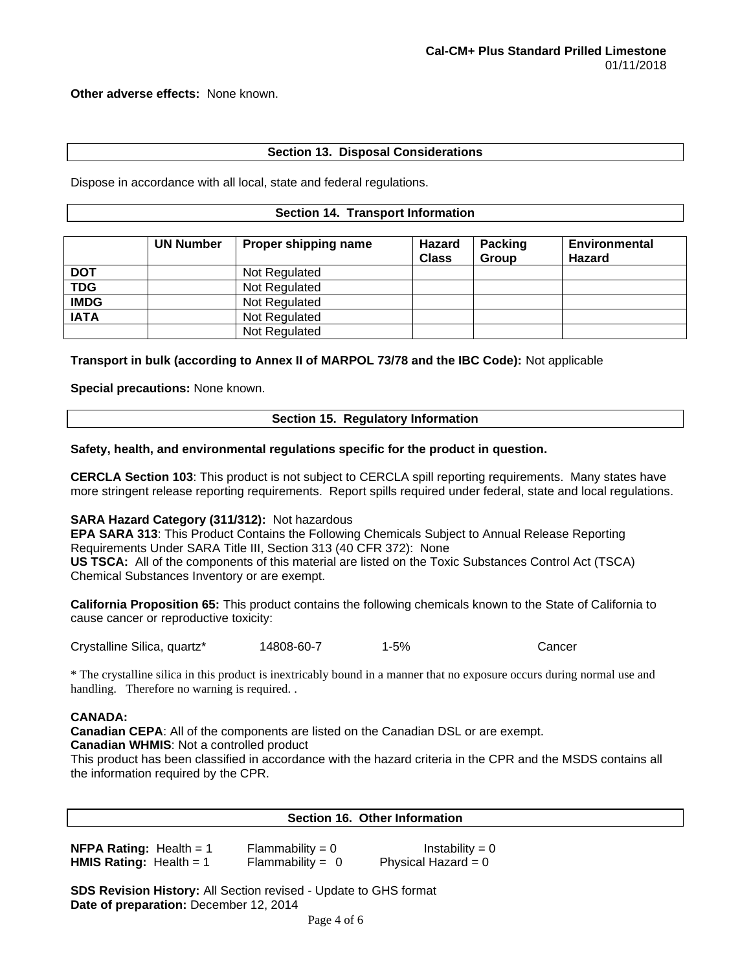**Other adverse effects:** None known.

# **Section 13. Disposal Considerations**

Dispose in accordance with all local, state and federal regulations.

#### **Section 14. Transport Information**

|             | <b>UN Number</b> | Proper shipping name | Hazard<br><b>Class</b> | <b>Packing</b><br><b>Group</b> | <b>Environmental</b><br><b>Hazard</b> |
|-------------|------------------|----------------------|------------------------|--------------------------------|---------------------------------------|
| <b>DOT</b>  |                  | Not Regulated        |                        |                                |                                       |
| <b>TDG</b>  |                  | Not Regulated        |                        |                                |                                       |
| <b>IMDG</b> |                  | Not Regulated        |                        |                                |                                       |
| <b>IATA</b> |                  | Not Regulated        |                        |                                |                                       |
|             |                  | Not Regulated        |                        |                                |                                       |

**Transport in bulk (according to Annex II of MARPOL 73/78 and the IBC Code):** Not applicable

**Special precautions:** None known.

# **Section 15. Regulatory Information**

### **Safety, health, and environmental regulations specific for the product in question.**

**CERCLA Section 103**: This product is not subject to CERCLA spill reporting requirements. Many states have more stringent release reporting requirements. Report spills required under federal, state and local regulations.

#### **SARA Hazard Category (311/312):** Not hazardous

**EPA SARA 313**: This Product Contains the Following Chemicals Subject to Annual Release Reporting Requirements Under SARA Title III, Section 313 (40 CFR 372): None **US TSCA:** All of the components of this material are listed on the Toxic Substances Control Act (TSCA) Chemical Substances Inventory or are exempt.

**California Proposition 65:** This product contains the following chemicals known to the State of California to cause cancer or reproductive toxicity:

Crystalline Silica, quartz\* 14808-60-7 1-5% Cancer

\* The crystalline silica in this product is inextricably bound in a manner that no exposure occurs during normal use and handling. Therefore no warning is required..

#### **CANADA:**

**Canadian CEPA**: All of the components are listed on the Canadian DSL or are exempt. **Canadian WHMIS**: Not a controlled product

This product has been classified in accordance with the hazard criteria in the CPR and the MSDS contains all the information required by the CPR.

#### **Section 16. Other Information**

| <b>NFPA Rating:</b> Health = $1$ | $Flammability = 0$ | Instability = $0$     |
|----------------------------------|--------------------|-----------------------|
| <b>HMIS Rating:</b> Health = $1$ | Flammability = $0$ | Physical Hazard = $0$ |

**SDS Revision History:** All Section revised - Update to GHS format **Date of preparation:** December 12, 2014